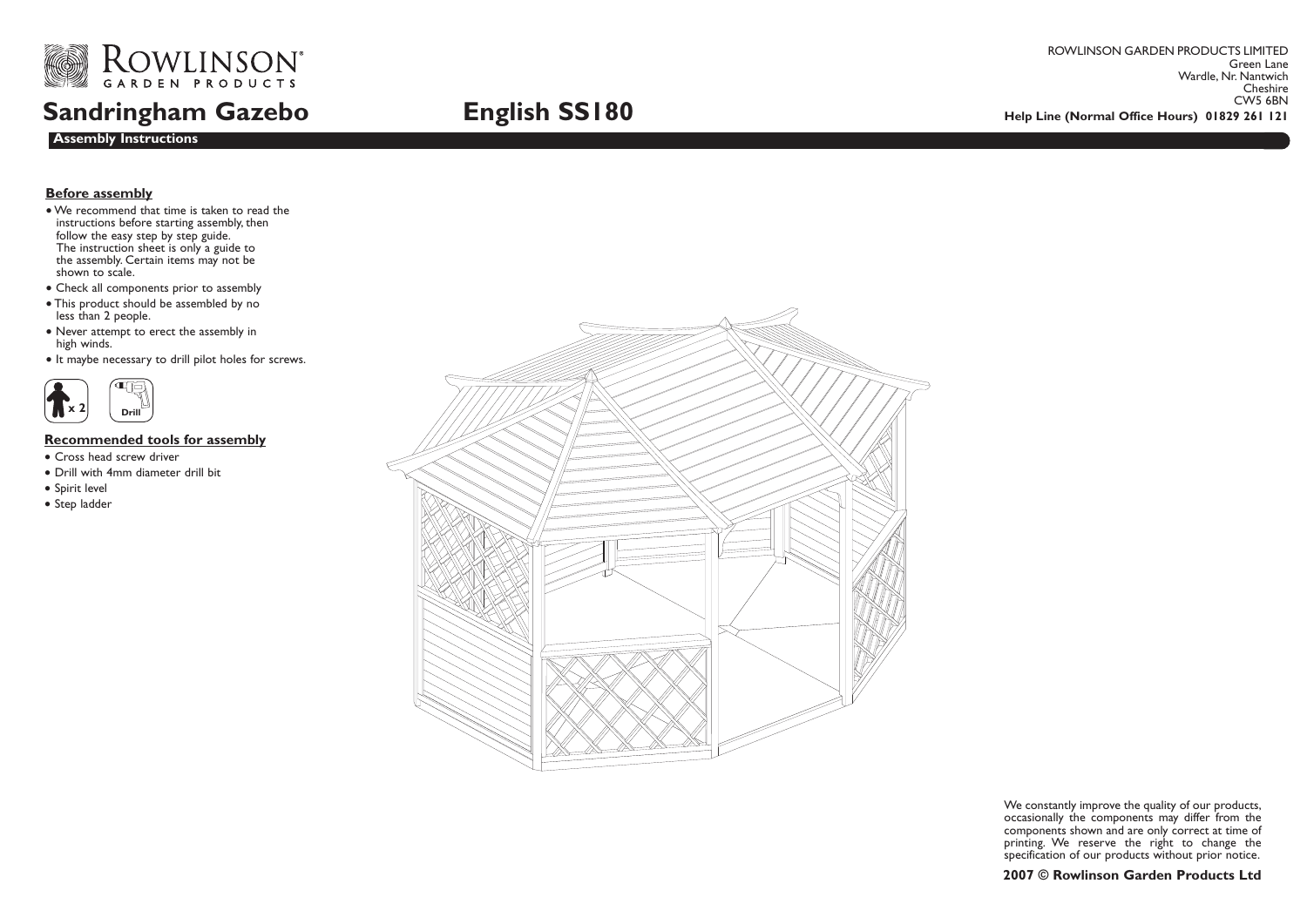

## **Sandringham Gazebo**

ROWLINSON GARDEN PRODUCTS LIMITED Green Lane Wardle, Nr. Nantwich Cheshire<br>CW5 6BN **English SS180** CWS 6BN **English SS180** 

## **Before assembly**

**Assembly Instructions**

- We recommend that time is taken to read the instructions before starting assembly, then follow the easy step by step guide. The instruction sheet is only a guide to the assembly. Certain items may not be shown to scale.
- Check all components prior to assembly
- This product should be assembled by no less than 2 people.
- Never attempt to erect the assembly in high winds.
- It maybe necessary to drill pilot holes for screws.



## **Recommended tools for assembly**

- Cross head screw driver
- Drill with 4mm diameter drill bit
- Spirit level
- Step ladder



We constantly improve the quality of our products, occasionally the components may differ from the components shown and are only correct at time of printing. We reserve the right to change the specification of our products without prior notice.

## **2007 © Rowlinson Garden Products Ltd**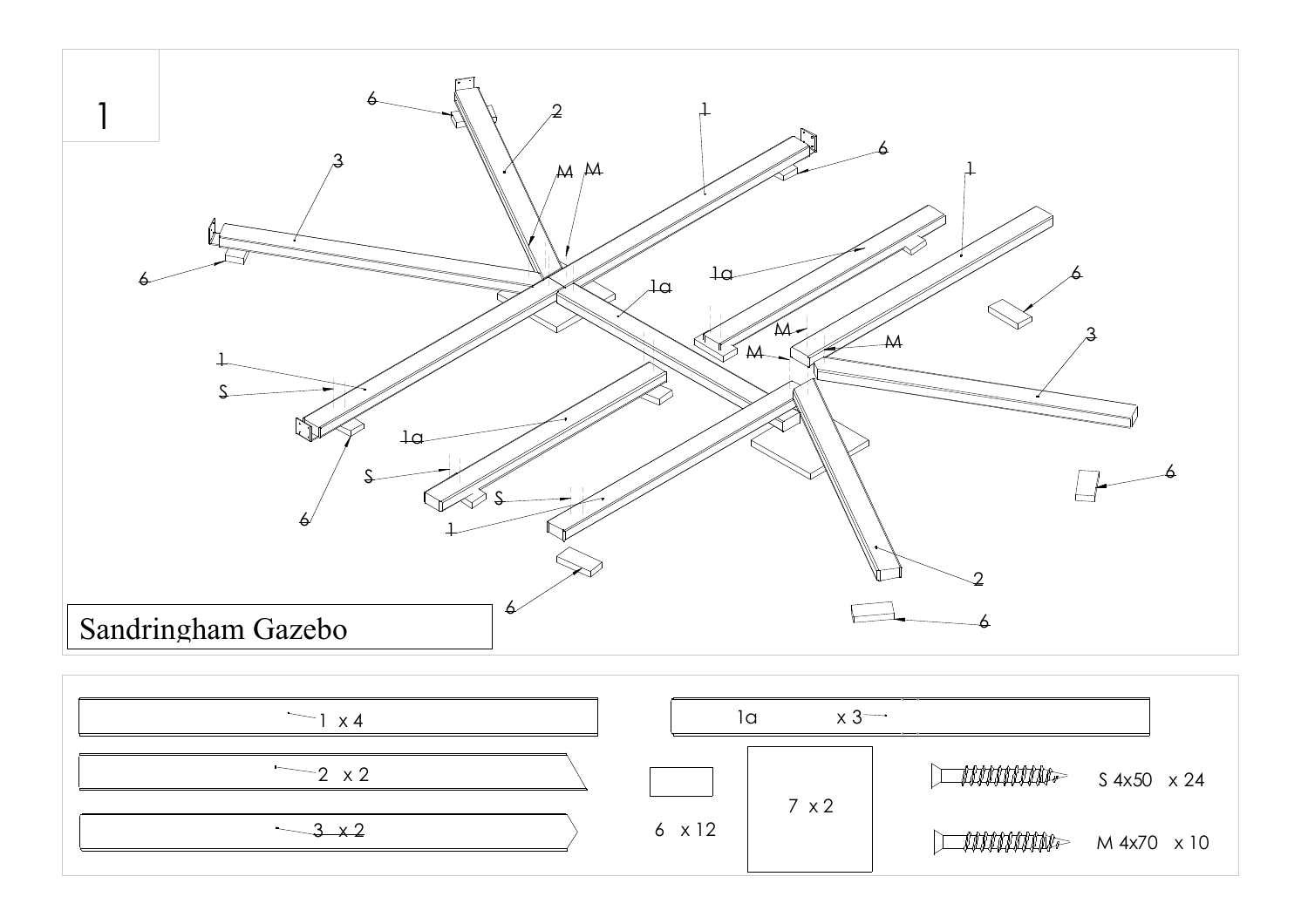

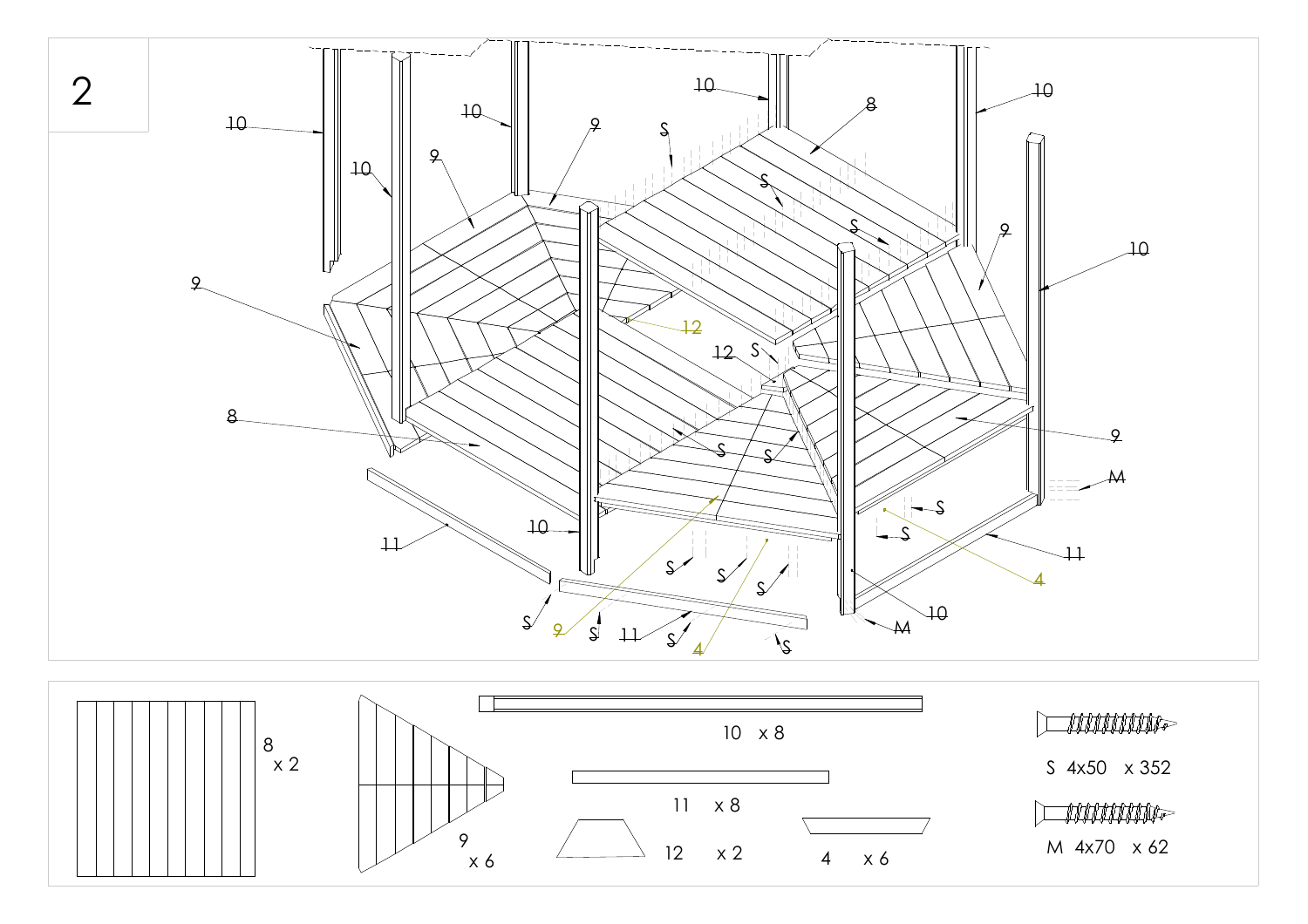

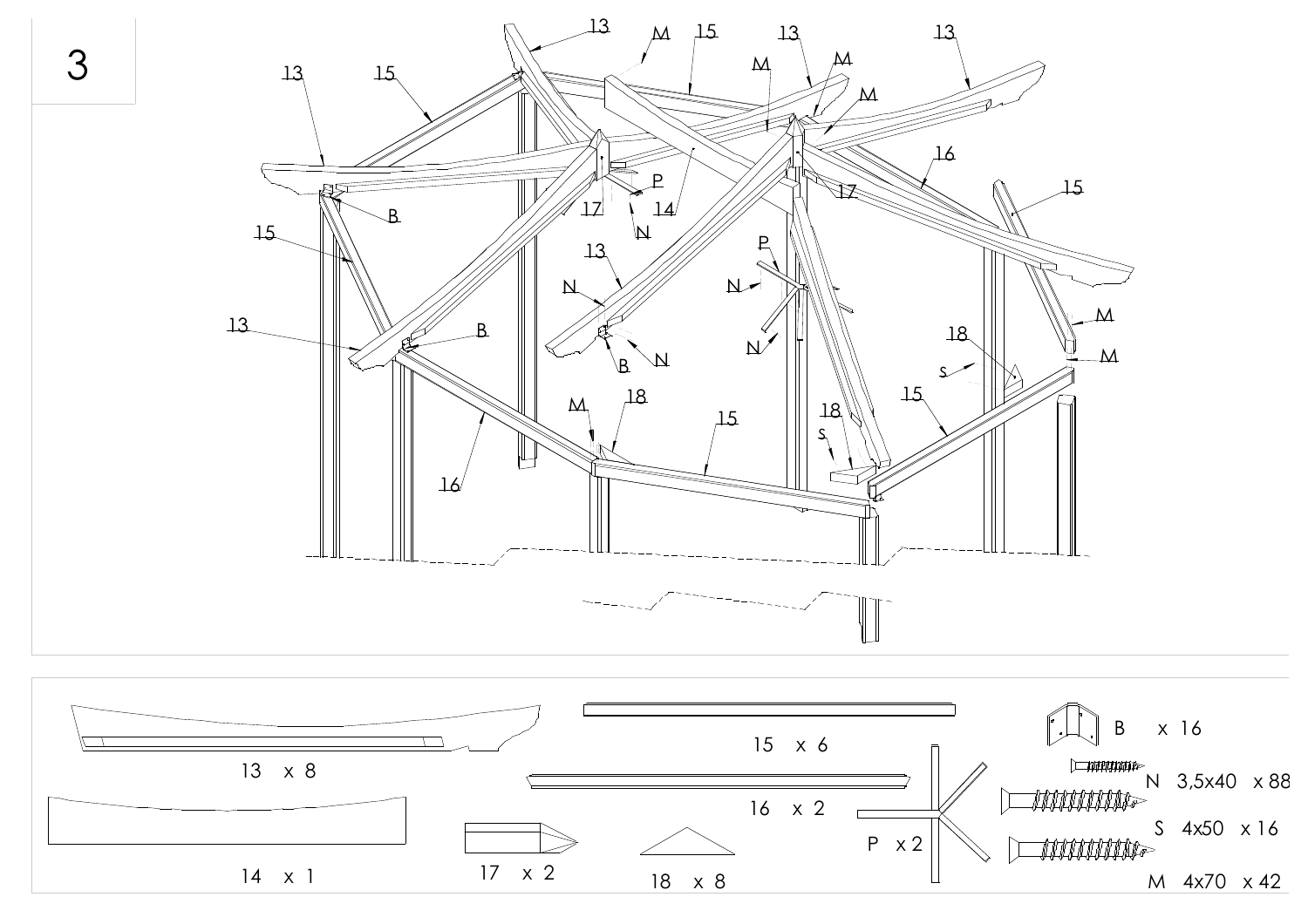

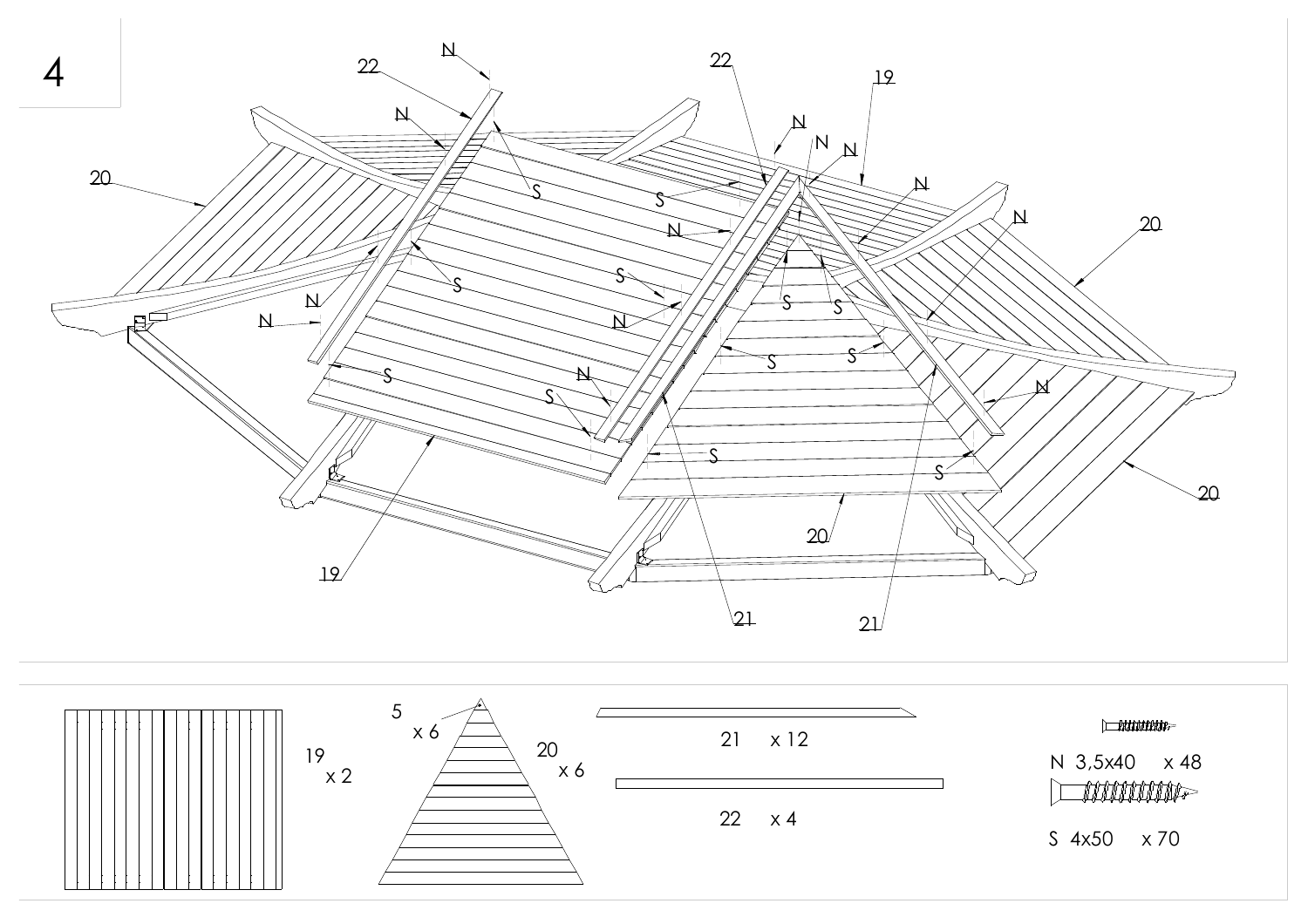